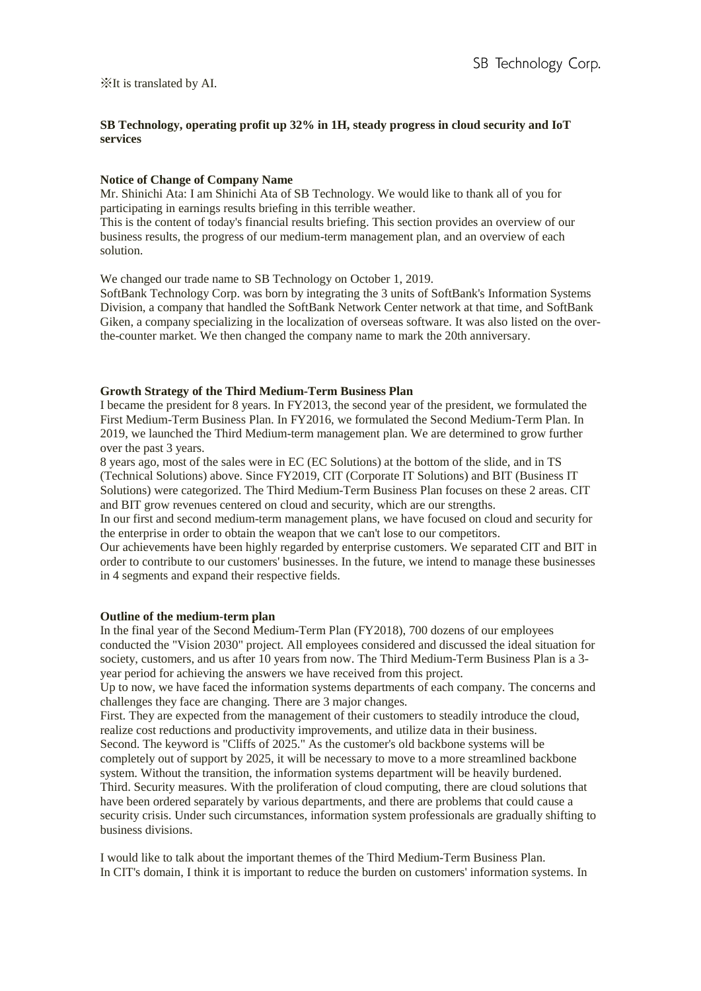# **SB Technology, operating profit up 32% in 1H, steady progress in cloud security and IoT services**

#### **Notice of Change of Company Name**

Mr. Shinichi Ata: I am Shinichi Ata of SB Technology. We would like to thank all of you for participating in earnings results briefing in this terrible weather.

This is the content of today's financial results briefing. This section provides an overview of our business results, the progress of our medium-term management plan, and an overview of each solution.

We changed our trade name to SB Technology on October 1, 2019.

SoftBank Technology Corp. was born by integrating the 3 units of SoftBank's Information Systems Division, a company that handled the SoftBank Network Center network at that time, and SoftBank Giken, a company specializing in the localization of overseas software. It was also listed on the overthe-counter market. We then changed the company name to mark the 20th anniversary.

#### **Growth Strategy of the Third Medium-Term Business Plan**

I became the president for 8 years. In FY2013, the second year of the president, we formulated the First Medium-Term Business Plan. In FY2016, we formulated the Second Medium-Term Plan. In 2019, we launched the Third Medium-term management plan. We are determined to grow further over the past 3 years.

8 years ago, most of the sales were in EC (EC Solutions) at the bottom of the slide, and in TS (Technical Solutions) above. Since FY2019, CIT (Corporate IT Solutions) and BIT (Business IT Solutions) were categorized. The Third Medium-Term Business Plan focuses on these 2 areas. CIT and BIT grow revenues centered on cloud and security, which are our strengths.

In our first and second medium-term management plans, we have focused on cloud and security for the enterprise in order to obtain the weapon that we can't lose to our competitors.

Our achievements have been highly regarded by enterprise customers. We separated CIT and BIT in order to contribute to our customers' businesses. In the future, we intend to manage these businesses in 4 segments and expand their respective fields.

#### **Outline of the medium-term plan**

In the final year of the Second Medium-Term Plan (FY2018), 700 dozens of our employees conducted the "Vision 2030" project. All employees considered and discussed the ideal situation for society, customers, and us after 10 years from now. The Third Medium-Term Business Plan is a 3 year period for achieving the answers we have received from this project.

Up to now, we have faced the information systems departments of each company. The concerns and challenges they face are changing. There are 3 major changes.

First. They are expected from the management of their customers to steadily introduce the cloud, realize cost reductions and productivity improvements, and utilize data in their business. Second. The keyword is "Cliffs of 2025." As the customer's old backbone systems will be completely out of support by 2025, it will be necessary to move to a more streamlined backbone system. Without the transition, the information systems department will be heavily burdened. Third. Security measures. With the proliferation of cloud computing, there are cloud solutions that have been ordered separately by various departments, and there are problems that could cause a security crisis. Under such circumstances, information system professionals are gradually shifting to business divisions.

I would like to talk about the important themes of the Third Medium-Term Business Plan. In CIT's domain, I think it is important to reduce the burden on customers' information systems. In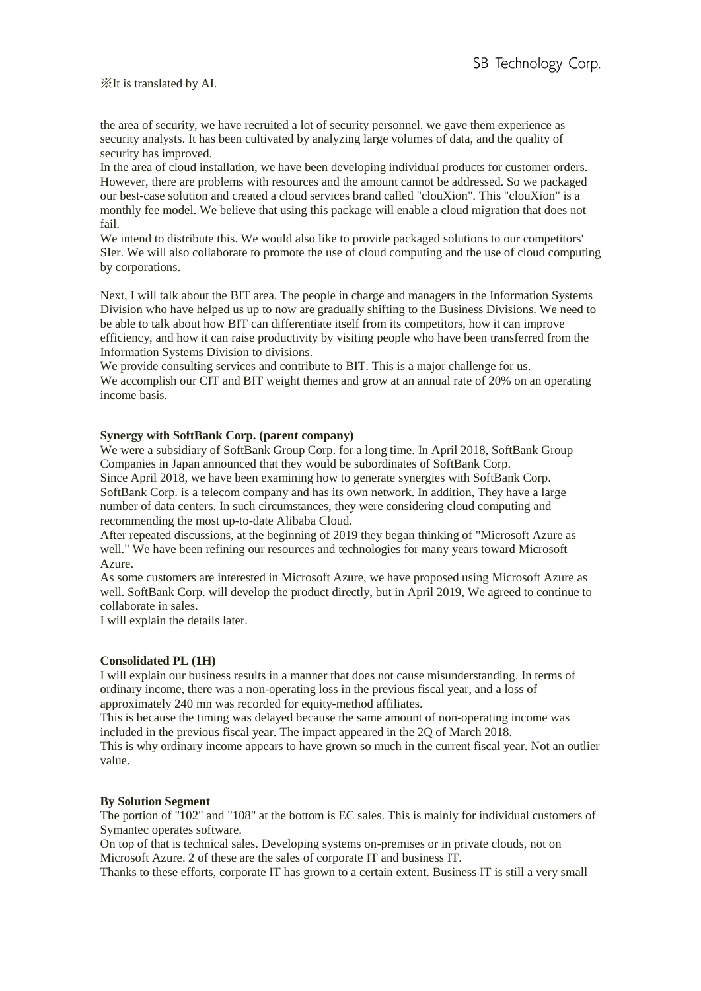the area of security, we have recruited a lot of security personnel. we gave them experience as security analysts. It has been cultivated by analyzing large volumes of data, and the quality of security has improved.

In the area of cloud installation, we have been developing individual products for customer orders. However, there are problems with resources and the amount cannot be addressed. So we packaged our best-case solution and created a cloud services brand called "clouXion". This "clouXion" is a monthly fee model. We believe that using this package will enable a cloud migration that does not fail.

We intend to distribute this. We would also like to provide packaged solutions to our competitors' SIer. We will also collaborate to promote the use of cloud computing and the use of cloud computing by corporations.

Next, I will talk about the BIT area. The people in charge and managers in the Information Systems Division who have helped us up to now are gradually shifting to the Business Divisions. We need to be able to talk about how BIT can differentiate itself from its competitors, how it can improve efficiency, and how it can raise productivity by visiting people who have been transferred from the Information Systems Division to divisions.

We provide consulting services and contribute to BIT. This is a major challenge for us. We accomplish our CIT and BIT weight themes and grow at an annual rate of 20% on an operating income basis.

## **Synergy with SoftBank Corp. (parent company)**

We were a subsidiary of SoftBank Group Corp. for a long time. In April 2018, SoftBank Group Companies in Japan announced that they would be subordinates of SoftBank Corp. Since April 2018, we have been examining how to generate synergies with SoftBank Corp. SoftBank Corp. is a telecom company and has its own network. In addition, They have a large number of data centers. In such circumstances, they were considering cloud computing and recommending the most up-to-date Alibaba Cloud.

After repeated discussions, at the beginning of 2019 they began thinking of "Microsoft Azure as well." We have been refining our resources and technologies for many years toward Microsoft Azure.

As some customers are interested in Microsoft Azure, we have proposed using Microsoft Azure as well. SoftBank Corp. will develop the product directly, but in April 2019, We agreed to continue to collaborate in sales.

I will explain the details later.

# **Consolidated PL (1H)**

I will explain our business results in a manner that does not cause misunderstanding. In terms of ordinary income, there was a non-operating loss in the previous fiscal year, and a loss of approximately 240 mn was recorded for equity-method affiliates.

This is because the timing was delayed because the same amount of non-operating income was included in the previous fiscal year. The impact appeared in the 2Q of March 2018.

This is why ordinary income appears to have grown so much in the current fiscal year. Not an outlier value.

## **By Solution Segment**

The portion of "102" and "108" at the bottom is EC sales. This is mainly for individual customers of Symantec operates software.

On top of that is technical sales. Developing systems on-premises or in private clouds, not on Microsoft Azure. 2 of these are the sales of corporate IT and business IT.

Thanks to these efforts, corporate IT has grown to a certain extent. Business IT is still a very small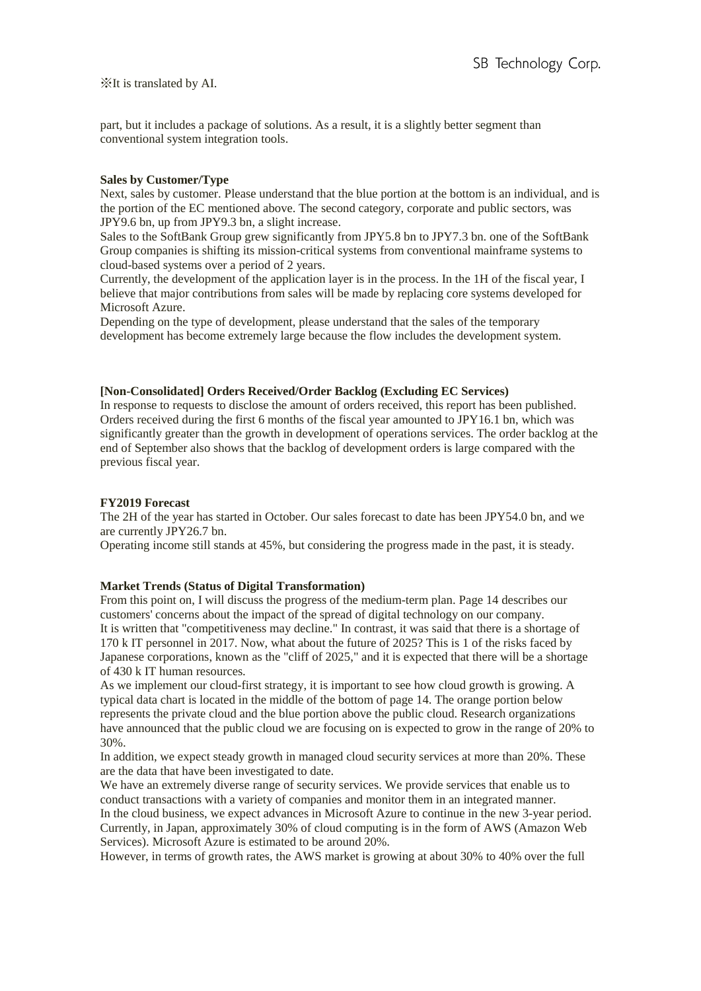part, but it includes a package of solutions. As a result, it is a slightly better segment than conventional system integration tools.

# **Sales by Customer/Type**

Next, sales by customer. Please understand that the blue portion at the bottom is an individual, and is the portion of the EC mentioned above. The second category, corporate and public sectors, was JPY9.6 bn, up from JPY9.3 bn, a slight increase.

Sales to the SoftBank Group grew significantly from JPY5.8 bn to JPY7.3 bn. one of the SoftBank Group companies is shifting its mission-critical systems from conventional mainframe systems to cloud-based systems over a period of 2 years.

Currently, the development of the application layer is in the process. In the 1H of the fiscal year, I believe that major contributions from sales will be made by replacing core systems developed for Microsoft Azure.

Depending on the type of development, please understand that the sales of the temporary development has become extremely large because the flow includes the development system.

## **[Non-Consolidated] Orders Received/Order Backlog (Excluding EC Services)**

In response to requests to disclose the amount of orders received, this report has been published. Orders received during the first 6 months of the fiscal year amounted to JPY16.1 bn, which was significantly greater than the growth in development of operations services. The order backlog at the end of September also shows that the backlog of development orders is large compared with the previous fiscal year.

# **FY2019 Forecast**

The 2H of the year has started in October. Our sales forecast to date has been JPY54.0 bn, and we are currently JPY26.7 bn.

Operating income still stands at 45%, but considering the progress made in the past, it is steady.

# **Market Trends (Status of Digital Transformation)**

From this point on, I will discuss the progress of the medium-term plan. Page 14 describes our customers' concerns about the impact of the spread of digital technology on our company. It is written that "competitiveness may decline." In contrast, it was said that there is a shortage of 170 k IT personnel in 2017. Now, what about the future of 2025? This is 1 of the risks faced by Japanese corporations, known as the "cliff of 2025," and it is expected that there will be a shortage of 430 k IT human resources.

As we implement our cloud-first strategy, it is important to see how cloud growth is growing. A typical data chart is located in the middle of the bottom of page 14. The orange portion below represents the private cloud and the blue portion above the public cloud. Research organizations have announced that the public cloud we are focusing on is expected to grow in the range of 20% to 30%.

In addition, we expect steady growth in managed cloud security services at more than 20%. These are the data that have been investigated to date.

We have an extremely diverse range of security services. We provide services that enable us to conduct transactions with a variety of companies and monitor them in an integrated manner. In the cloud business, we expect advances in Microsoft Azure to continue in the new 3-year period. Currently, in Japan, approximately 30% of cloud computing is in the form of AWS (Amazon Web Services). Microsoft Azure is estimated to be around 20%.

However, in terms of growth rates, the AWS market is growing at about 30% to 40% over the full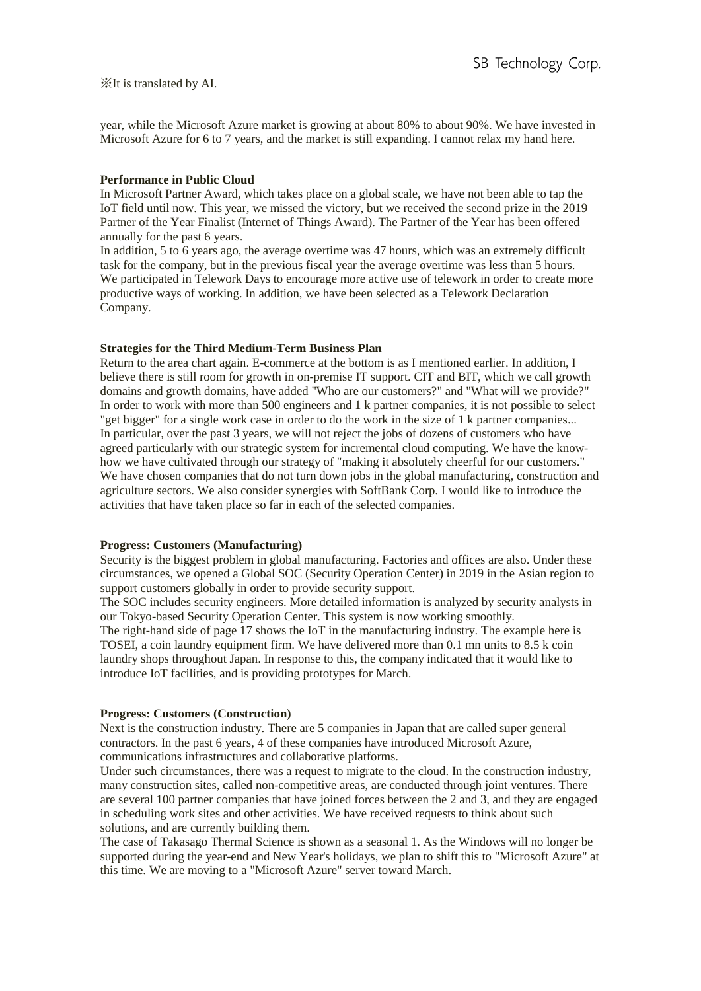year, while the Microsoft Azure market is growing at about 80% to about 90%. We have invested in Microsoft Azure for 6 to 7 years, and the market is still expanding. I cannot relax my hand here.

#### **Performance in Public Cloud**

In Microsoft Partner Award, which takes place on a global scale, we have not been able to tap the IoT field until now. This year, we missed the victory, but we received the second prize in the 2019 Partner of the Year Finalist (Internet of Things Award). The Partner of the Year has been offered annually for the past 6 years.

In addition, 5 to 6 years ago, the average overtime was 47 hours, which was an extremely difficult task for the company, but in the previous fiscal year the average overtime was less than 5 hours. We participated in Telework Days to encourage more active use of telework in order to create more productive ways of working. In addition, we have been selected as a Telework Declaration Company.

#### **Strategies for the Third Medium-Term Business Plan**

Return to the area chart again. E-commerce at the bottom is as I mentioned earlier. In addition, I believe there is still room for growth in on-premise IT support. CIT and BIT, which we call growth domains and growth domains, have added "Who are our customers?" and "What will we provide?" In order to work with more than 500 engineers and 1 k partner companies, it is not possible to select "get bigger" for a single work case in order to do the work in the size of 1 k partner companies... In particular, over the past 3 years, we will not reject the jobs of dozens of customers who have agreed particularly with our strategic system for incremental cloud computing. We have the knowhow we have cultivated through our strategy of "making it absolutely cheerful for our customers." We have chosen companies that do not turn down jobs in the global manufacturing, construction and agriculture sectors. We also consider synergies with SoftBank Corp. I would like to introduce the activities that have taken place so far in each of the selected companies.

#### **Progress: Customers (Manufacturing)**

Security is the biggest problem in global manufacturing. Factories and offices are also. Under these circumstances, we opened a Global SOC (Security Operation Center) in 2019 in the Asian region to support customers globally in order to provide security support.

The SOC includes security engineers. More detailed information is analyzed by security analysts in our Tokyo-based Security Operation Center. This system is now working smoothly.

The right-hand side of page 17 shows the IoT in the manufacturing industry. The example here is TOSEI, a coin laundry equipment firm. We have delivered more than 0.1 mn units to 8.5 k coin laundry shops throughout Japan. In response to this, the company indicated that it would like to introduce IoT facilities, and is providing prototypes for March.

## **Progress: Customers (Construction)**

Next is the construction industry. There are 5 companies in Japan that are called super general contractors. In the past 6 years, 4 of these companies have introduced Microsoft Azure, communications infrastructures and collaborative platforms.

Under such circumstances, there was a request to migrate to the cloud. In the construction industry, many construction sites, called non-competitive areas, are conducted through joint ventures. There are several 100 partner companies that have joined forces between the 2 and 3, and they are engaged in scheduling work sites and other activities. We have received requests to think about such solutions, and are currently building them.

The case of Takasago Thermal Science is shown as a seasonal 1. As the Windows will no longer be supported during the year-end and New Year's holidays, we plan to shift this to "Microsoft Azure" at this time. We are moving to a "Microsoft Azure" server toward March.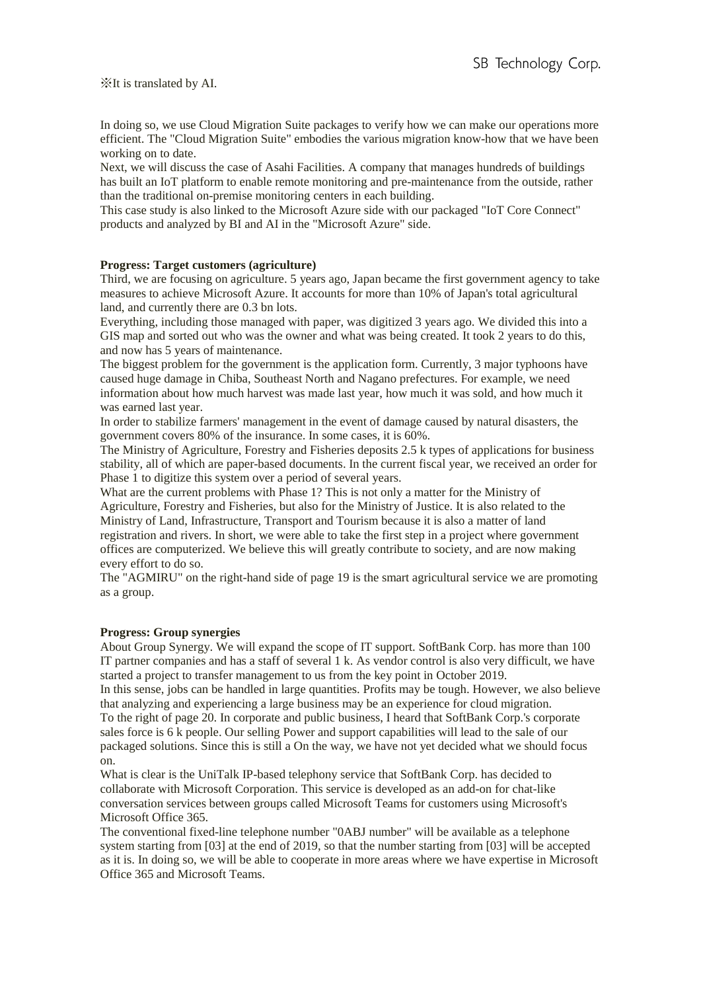In doing so, we use Cloud Migration Suite packages to verify how we can make our operations more efficient. The "Cloud Migration Suite" embodies the various migration know-how that we have been working on to date.

Next, we will discuss the case of Asahi Facilities. A company that manages hundreds of buildings has built an IoT platform to enable remote monitoring and pre-maintenance from the outside, rather than the traditional on-premise monitoring centers in each building.

This case study is also linked to the Microsoft Azure side with our packaged "IoT Core Connect" products and analyzed by BI and AI in the "Microsoft Azure" side.

## **Progress: Target customers (agriculture)**

Third, we are focusing on agriculture. 5 years ago, Japan became the first government agency to take measures to achieve Microsoft Azure. It accounts for more than 10% of Japan's total agricultural land, and currently there are 0.3 bn lots.

Everything, including those managed with paper, was digitized 3 years ago. We divided this into a GIS map and sorted out who was the owner and what was being created. It took 2 years to do this, and now has 5 years of maintenance.

The biggest problem for the government is the application form. Currently, 3 major typhoons have caused huge damage in Chiba, Southeast North and Nagano prefectures. For example, we need information about how much harvest was made last year, how much it was sold, and how much it was earned last year.

In order to stabilize farmers' management in the event of damage caused by natural disasters, the government covers 80% of the insurance. In some cases, it is 60%.

The Ministry of Agriculture, Forestry and Fisheries deposits 2.5 k types of applications for business stability, all of which are paper-based documents. In the current fiscal year, we received an order for Phase 1 to digitize this system over a period of several years.

What are the current problems with Phase 1? This is not only a matter for the Ministry of Agriculture, Forestry and Fisheries, but also for the Ministry of Justice. It is also related to the Ministry of Land, Infrastructure, Transport and Tourism because it is also a matter of land registration and rivers. In short, we were able to take the first step in a project where government offices are computerized. We believe this will greatly contribute to society, and are now making every effort to do so.

The "AGMIRU" on the right-hand side of page 19 is the smart agricultural service we are promoting as a group.

#### **Progress: Group synergies**

About Group Synergy. We will expand the scope of IT support. SoftBank Corp. has more than 100 IT partner companies and has a staff of several 1 k. As vendor control is also very difficult, we have started a project to transfer management to us from the key point in October 2019.

In this sense, jobs can be handled in large quantities. Profits may be tough. However, we also believe that analyzing and experiencing a large business may be an experience for cloud migration. To the right of page 20. In corporate and public business, I heard that SoftBank Corp.'s corporate sales force is 6 k people. Our selling Power and support capabilities will lead to the sale of our packaged solutions. Since this is still a On the way, we have not yet decided what we should focus on.

What is clear is the UniTalk IP-based telephony service that SoftBank Corp. has decided to collaborate with Microsoft Corporation. This service is developed as an add-on for chat-like conversation services between groups called Microsoft Teams for customers using Microsoft's Microsoft Office 365.

The conventional fixed-line telephone number "0ABJ number" will be available as a telephone system starting from [03] at the end of 2019, so that the number starting from [03] will be accepted as it is. In doing so, we will be able to cooperate in more areas where we have expertise in Microsoft Office 365 and Microsoft Teams.